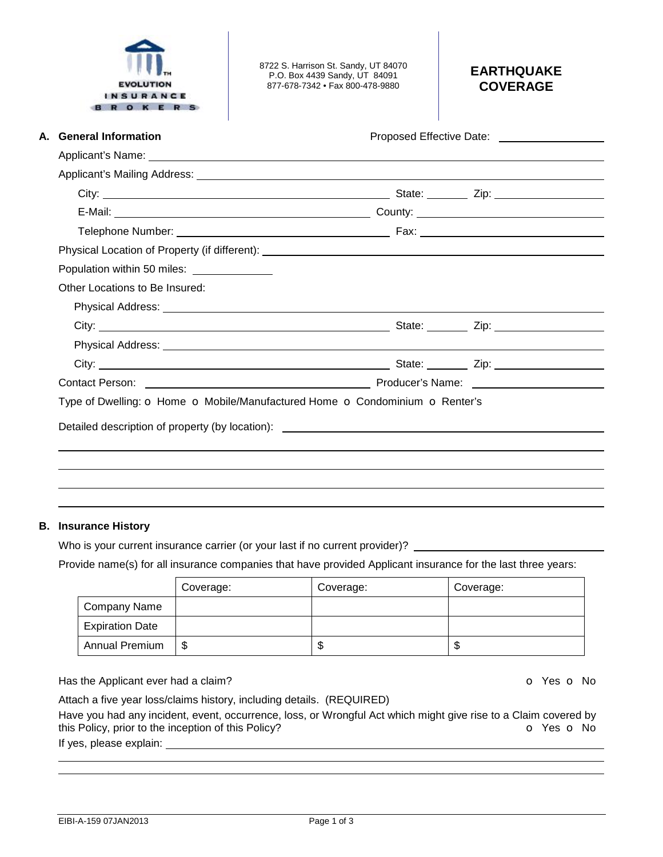| <b>General Information</b><br>А.<br>Physical Location of Property (if different): ___________________________________<br>Other Locations to Be Insured: |                             |  | Proposed Effective Date: Noted that the set of the set of the set of the set of the set of the set of the set o                                                                                                                |  |  |
|---------------------------------------------------------------------------------------------------------------------------------------------------------|-----------------------------|--|--------------------------------------------------------------------------------------------------------------------------------------------------------------------------------------------------------------------------------|--|--|
|                                                                                                                                                         |                             |  |                                                                                                                                                                                                                                |  |  |
|                                                                                                                                                         |                             |  |                                                                                                                                                                                                                                |  |  |
|                                                                                                                                                         |                             |  |                                                                                                                                                                                                                                |  |  |
|                                                                                                                                                         |                             |  |                                                                                                                                                                                                                                |  |  |
|                                                                                                                                                         |                             |  |                                                                                                                                                                                                                                |  |  |
|                                                                                                                                                         |                             |  |                                                                                                                                                                                                                                |  |  |
|                                                                                                                                                         |                             |  |                                                                                                                                                                                                                                |  |  |
|                                                                                                                                                         | Population within 50 miles: |  |                                                                                                                                                                                                                                |  |  |
|                                                                                                                                                         |                             |  |                                                                                                                                                                                                                                |  |  |
|                                                                                                                                                         |                             |  |                                                                                                                                                                                                                                |  |  |
|                                                                                                                                                         |                             |  |                                                                                                                                                                                                                                |  |  |
|                                                                                                                                                         |                             |  |                                                                                                                                                                                                                                |  |  |
|                                                                                                                                                         |                             |  |                                                                                                                                                                                                                                |  |  |
|                                                                                                                                                         |                             |  | Contact Person: Name: Name: Name: Name: Name: Name: Name: Name: Name: Name: Name: Name: Name: Name: Name: Name: Name: Name: Name: Name: Name: Name: Name: Name: Name: Name: Name: Name: Name: Name: Name: Name: Name: Name: Na |  |  |
| Type of Dwelling: O Home O Mobile/Manufactured Home O Condominium O Renter's                                                                            |                             |  |                                                                                                                                                                                                                                |  |  |
| Detailed description of property (by location): _________________________________                                                                       |                             |  |                                                                                                                                                                                                                                |  |  |

 $\overline{\phantom{a}}$ 

# **B. Insurance History**

Who is your current insurance carrier (or your last if no current provider)? \_

 $\overline{\phantom{a}}$ 

Provide name(s) for all insurance companies that have provided Applicant insurance for the last three years:

|                        | Coverage: | Coverage: | Coverage: |
|------------------------|-----------|-----------|-----------|
| Company Name           |           |           |           |
| <b>Expiration Date</b> |           |           |           |
| <b>Annual Premium</b>  | \$        | ۰D        | J         |

Has the Applicant ever had a claim? **Example 20 For Applicant ever had a claim? O** Yes **O** No

Attach a five year loss/claims history, including details. (REQUIRED)

Have you had any incident, event, occurrence, loss, or Wrongful Act which might give rise to a Claim covered by<br>this Policy, prior to the inception of this Policy? this Policy, prior to the inception of this Policy?

If yes, please explain: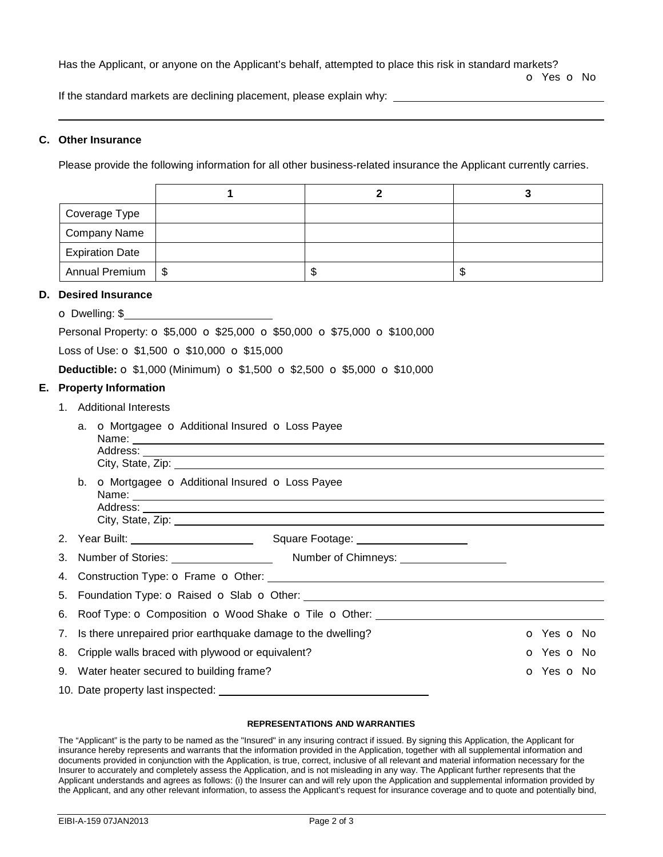Has the Applicant, or anyone on the Applicant's behalf, attempted to place this risk in standard markets?

o Yes o No

If the standard markets are declining placement, please explain why: \_\_\_\_\_\_\_

## **C. Other Insurance**

Please provide the following information for all other business-related insurance the Applicant currently carries.

| Coverage Type          |     |   |
|------------------------|-----|---|
| <b>Company Name</b>    |     |   |
| <b>Expiration Date</b> |     |   |
| Annual Premium   \$    | ٨IJ | J |

## **D. Desired Insurance**

o Dwelling: \$ Personal Property:  $\circ$  \$5,000  $\circ$  \$25,000  $\circ$  \$50,000  $\circ$  \$75,000  $\circ$  \$100,000

Loss of Use:  $\sigma$  \$1,500  $\sigma$  \$10,000  $\sigma$  \$15,000

**Deductible: o** \$1,000 (Minimum) **o** \$1,500 **o** \$2,500 **o** \$5,000 **o** \$10,000

## **E. Property Information**

1. Additional Interests

| <b>o</b> Mortgagee <b>o</b> Additional Insured <b>o</b> Loss Payee<br>a.         |                                                  |  |                          |  |  |
|----------------------------------------------------------------------------------|--------------------------------------------------|--|--------------------------|--|--|
|                                                                                  | b. O Mortgagee O Additional Insured O Loss Payee |  |                          |  |  |
|                                                                                  |                                                  |  |                          |  |  |
|                                                                                  |                                                  |  |                          |  |  |
|                                                                                  |                                                  |  |                          |  |  |
|                                                                                  |                                                  |  |                          |  |  |
| 6. Roof Type: o Composition o Wood Shake o Tile o Other: _______________________ |                                                  |  |                          |  |  |
| 7. Is there unrepaired prior earthquake damage to the dwelling?                  |                                                  |  | o Yes o No               |  |  |
| 8. Cripple walls braced with plywood or equivalent?                              |                                                  |  | <b>o</b> Yes <b>o</b> No |  |  |
| 9. Water heater secured to building frame?                                       |                                                  |  | O Yes O No               |  |  |
| 10. Date property last inspected: _____________                                  |                                                  |  |                          |  |  |

### **REPRESENTATIONS AND WARRANTIES**

The "Applicant" is the party to be named as the "Insured" in any insuring contract if issued. By signing this Application, the Applicant for insurance hereby represents and warrants that the information provided in the Application, together with all supplemental information and documents provided in conjunction with the Application, is true, correct, inclusive of all relevant and material information necessary for the Insurer to accurately and completely assess the Application, and is not misleading in any way. The Applicant further represents that the Applicant understands and agrees as follows: (i) the Insurer can and will rely upon the Application and supplemental information provided by the Applicant, and any other relevant information, to assess the Applicant's request for insurance coverage and to quote and potentially bind,